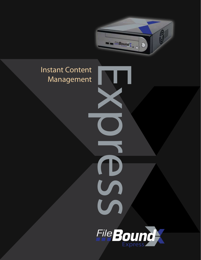

## Instant Content Management



Express